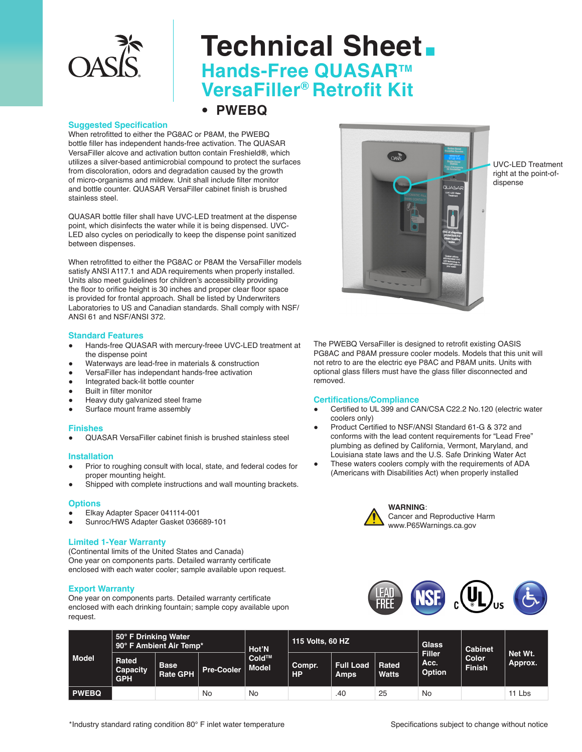

# **Technical Sheet. Hands-Free QUASAR™ VersaFiller® Retrofit Kit**

• **PWEBQ** 

## **Suggested Specification**

When retrofitted to either the PG8AC or P8AM, the PWEBQ bottle filler has independent hands-free activation. The QUASAR VersaFiller alcove and activation button contain Freshield**®**, which utilizes a silver-based antimicrobial compound to protect the surfaces from discoloration, odors and degradation caused by the growth of micro-organisms and mildew. Unit shall include filter monitor and bottle counter. QUASAR VersaFiller cabinet finish is brushed stainless steel.

QUASAR bottle filler shall have UVC-LED treatment at the dispense point, which disinfects the water while it is being dispensed. UVC-LED also cycles on periodically to keep the dispense point sanitized between dispenses.

When retrofitted to either the PG8AC or P8AM the VersaFiller models satisfy ANSI A117.1 and ADA requirements when properly installed. Units also meet guidelines for children's accessibility providing the floor to orifice height is 30 inches and proper clear floor space is provided for frontal approach. Shall be listed by Underwriters Laboratories to US and Canadian standards. Shall comply with NSF/ ANSI 61 and NSF/ANSI 372.

## **Standard Features**

- Hands-free QUASAR with mercury-freee UVC-LED treatment at the dispense point
- Waterways are lead-free in materials & construction
- VersaFiller has independant hands-free activation
- Integrated back-lit bottle counter
- **Built in filter monitor**
- Heavy duty galvanized steel frame
- Surface mount frame assembly

## **Finishes**

● QUASAR VersaFiller cabinet finish is brushed stainless steel

#### **Installation**

- Prior to roughing consult with local, state, and federal codes for proper mounting height.
- Shipped with complete instructions and wall mounting brackets.

#### **Options**

- Elkay Adapter Spacer 041114-001
- Sunroc/HWS Adapter Gasket 036689-101

## **Limited 1-Year Warranty**

(Continental limits of the United States and Canada) One year on components parts. Detailed warranty certificate enclosed with each water cooler; sample available upon request.

## **Export Warranty**

One year on components parts. Detailed warranty certificate enclosed with each drinking fountain; sample copy available upon request.



UVC-LED Treatment right at the point-ofdispense

The PWEBQ VersaFiller is designed to retrofit existing OASIS PG8AC and P8AM pressure cooler models. Models that this unit will not retro to are the electric eye P8AC and P8AM units. Units with optional glass fillers must have the glass filler disconnected and removed.

## **Certifications/Compliance**

- Certified to UL 399 and CAN/CSA C22.2 No.120 (electric water coolers only)
- Product Certified to NSF/ANSI Standard 61-G & 372 and conforms with the lead content requirements for "Lead Free" plumbing as defined by California, Vermont, Maryland, and Louisiana state laws and the U.S. Safe Drinking Water Act
- These waters coolers comply with the requirements of ADA (Americans with Disabilities Act) when properly installed



**WARNING**: Cancer and Reproductive Harm www.P65Warnings.ca.gov



| <b>Model</b> | 50° F Drinking Water<br>90° F Ambient Air Temp* |                                |                   | Hot'N                       | ' 115 Volts, 60 HZ , |                                 |                       | <b>Glass</b>                           | Cabinet                |                    |
|--------------|-------------------------------------------------|--------------------------------|-------------------|-----------------------------|----------------------|---------------------------------|-----------------------|----------------------------------------|------------------------|--------------------|
|              | Rated<br>Capacity<br><b>GPH</b>                 | <b>Base</b><br><b>Rate GPH</b> | <b>Pre-Cooler</b> | $Cold^{TM}$<br><b>Model</b> | Compr.<br><b>HP</b>  | <b>Full Load</b><br><b>Amps</b> | Rated<br><b>Watts</b> | <b>Filler</b><br>Acc.<br><b>Option</b> | Color<br><b>Finish</b> | Net Wt.<br>Approx. |
| <b>PWEBQ</b> |                                                 |                                | <b>No</b>         | No                          |                      | .40                             | 25                    | No                                     |                        | 11 Lbs             |